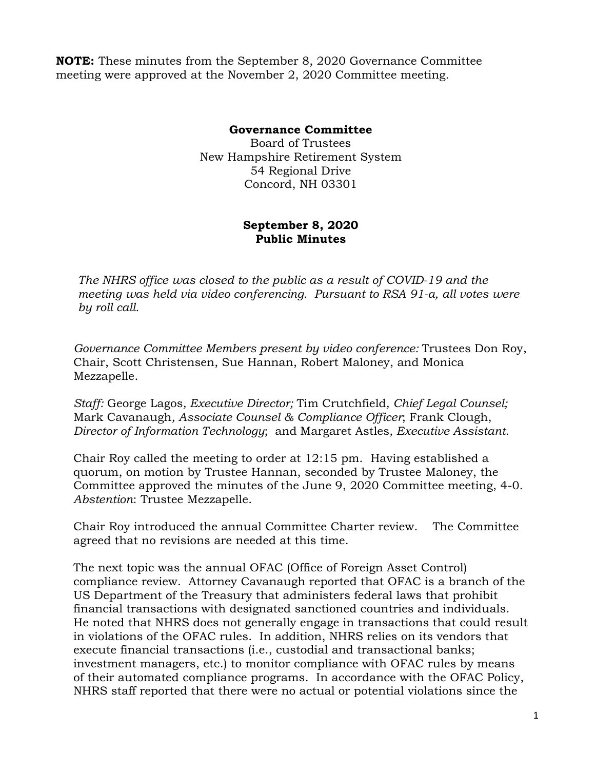**NOTE:** These minutes from the September 8, 2020 Governance Committee meeting were approved at the November 2, 2020 Committee meeting.

## **Governance Committee**

Board of Trustees New Hampshire Retirement System 54 Regional Drive Concord, NH 03301

## **September 8, 2020 Public Minutes**

*The NHRS office was closed to the public as a result of COVID-19 and the meeting was held via video conferencing. Pursuant to RSA 91-a, all votes were by roll call.*

*Governance Committee Members present by video conference:* Trustees Don Roy, Chair, Scott Christensen, Sue Hannan, Robert Maloney, and Monica Mezzapelle.

*Staff:* George Lagos*, Executive Director;* Tim Crutchfield*, Chief Legal Counsel;*  Mark Cavanaugh*, Associate Counsel & Compliance Officer*; Frank Clough, *Director of Information Technology*;and Margaret Astles*, Executive Assistant.* 

Chair Roy called the meeting to order at 12:15 pm. Having established a quorum, on motion by Trustee Hannan, seconded by Trustee Maloney, the Committee approved the minutes of the June 9, 2020 Committee meeting, 4-0. *Abstention*: Trustee Mezzapelle.

Chair Roy introduced the annual Committee Charter review. The Committee agreed that no revisions are needed at this time.

The next topic was the annual OFAC (Office of Foreign Asset Control) compliance review. Attorney Cavanaugh reported that OFAC is a branch of the US Department of the Treasury that administers federal laws that prohibit financial transactions with designated sanctioned countries and individuals. He noted that NHRS does not generally engage in transactions that could result in violations of the OFAC rules. In addition, NHRS relies on its vendors that execute financial transactions (i.e., custodial and transactional banks; investment managers, etc.) to monitor compliance with OFAC rules by means of their automated compliance programs. In accordance with the OFAC Policy, NHRS staff reported that there were no actual or potential violations since the